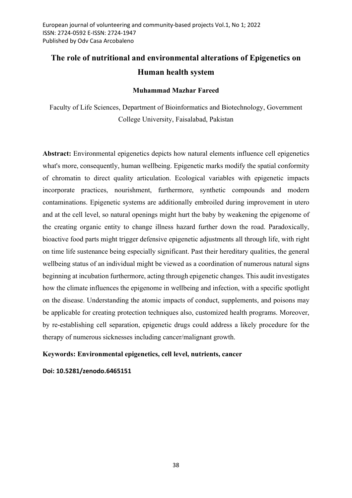# The role of nutritional and environmental alterations of Epigenetics on Human health system

## Muhammad Mazhar Fareed

Faculty of Life Sciences, Department of Bioinformatics and Biotechnology, Government College University, Faisalabad, Pakistan

Abstract: Environmental epigenetics depicts how natural elements influence cell epigenetics what's more, consequently, human wellbeing. Epigenetic marks modify the spatial conformity of chromatin to direct quality articulation. Ecological variables with epigenetic impacts incorporate practices, nourishment, furthermore, synthetic compounds and modern contaminations. Epigenetic systems are additionally embroiled during improvement in utero and at the cell level, so natural openings might hurt the baby by weakening the epigenome of the creating organic entity to change illness hazard further down the road. Paradoxically, bioactive food parts might trigger defensive epigenetic adjustments all through life, with right on time life sustenance being especially significant. Past their hereditary qualities, the general wellbeing status of an individual might be viewed as a coordination of numerous natural signs beginning at incubation furthermore, acting through epigenetic changes. This audit investigates how the climate influences the epigenome in wellbeing and infection, with a specific spotlight on the disease. Understanding the atomic impacts of conduct, supplements, and poisons may be applicable for creating protection techniques also, customized health programs. Moreover, by re-establishing cell separation, epigenetic drugs could address a likely procedure for the therapy of numerous sicknesses including cancer/malignant growth.

# Keywords: Environmental epigenetics, cell level, nutrients, cancer

Doi: 10.5281/zenodo.6465151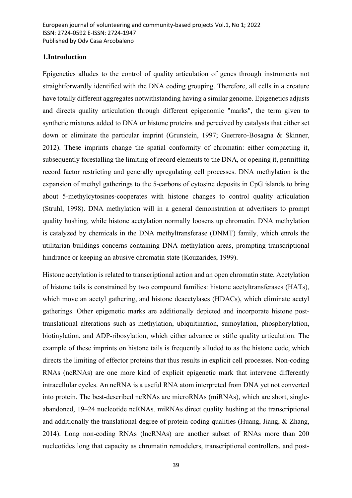#### 1.Introduction

Epigenetics alludes to the control of quality articulation of genes through instruments not straightforwardly identified with the DNA coding grouping. Therefore, all cells in a creature have totally different aggregates notwithstanding having a similar genome. Epigenetics adjusts and directs quality articulation through different epigenomic "marks", the term given to synthetic mixtures added to DNA or histone proteins and perceived by catalysts that either set down or eliminate the particular imprint (Grunstein, 1997; Guerrero-Bosagna & Skinner, 2012). These imprints change the spatial conformity of chromatin: either compacting it, subsequently forestalling the limiting of record elements to the DNA, or opening it, permitting record factor restricting and generally upregulating cell processes. DNA methylation is the expansion of methyl gatherings to the 5-carbons of cytosine deposits in CpG islands to bring about 5-methylcytosines-cooperates with histone changes to control quality articulation (Struhl, 1998). DNA methylation will in a general demonstration at advertisers to prompt quality hushing, while histone acetylation normally loosens up chromatin. DNA methylation is catalyzed by chemicals in the DNA methyltransferase (DNMT) family, which enrols the utilitarian buildings concerns containing DNA methylation areas, prompting transcriptional hindrance or keeping an abusive chromatin state (Kouzarides, 1999).

Histone acetylation is related to transcriptional action and an open chromatin state. Acetylation of histone tails is constrained by two compound families: histone acetyltransferases (HATs), which move an acetyl gathering, and histone deacetylases (HDACs), which eliminate acetyl gatherings. Other epigenetic marks are additionally depicted and incorporate histone posttranslational alterations such as methylation, ubiquitination, sumoylation, phosphorylation, biotinylation, and ADP-ribosylation, which either advance or stifle quality articulation. The example of these imprints on histone tails is frequently alluded to as the histone code, which directs the limiting of effector proteins that thus results in explicit cell processes. Non-coding RNAs (ncRNAs) are one more kind of explicit epigenetic mark that intervene differently intracellular cycles. An ncRNA is a useful RNA atom interpreted from DNA yet not converted into protein. The best-described ncRNAs are microRNAs (miRNAs), which are short, singleabandoned, 19–24 nucleotide ncRNAs. miRNAs direct quality hushing at the transcriptional and additionally the translational degree of protein-coding qualities (Huang, Jiang, & Zhang, 2014). Long non-coding RNAs (lncRNAs) are another subset of RNAs more than 200 nucleotides long that capacity as chromatin remodelers, transcriptional controllers, and post-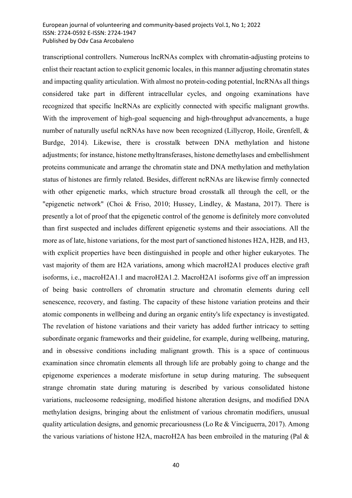transcriptional controllers. Numerous lncRNAs complex with chromatin-adjusting proteins to enlist their reactant action to explicit genomic locales, in this manner adjusting chromatin states and impacting quality articulation. With almost no protein-coding potential, lncRNAs all things considered take part in different intracellular cycles, and ongoing examinations have recognized that specific lncRNAs are explicitly connected with specific malignant growths. With the improvement of high-goal sequencing and high-throughput advancements, a huge number of naturally useful ncRNAs have now been recognized (Lillycrop, Hoile, Grenfell, & Burdge, 2014). Likewise, there is crosstalk between DNA methylation and histone adjustments; for instance, histone methyltransferases, histone demethylases and embellishment proteins communicate and arrange the chromatin state and DNA methylation and methylation status of histones are firmly related. Besides, different ncRNAs are likewise firmly connected with other epigenetic marks, which structure broad crosstalk all through the cell, or the "epigenetic network" (Choi & Friso, 2010; Hussey, Lindley, & Mastana, 2017). There is presently a lot of proof that the epigenetic control of the genome is definitely more convoluted than first suspected and includes different epigenetic systems and their associations. All the more as of late, histone variations, for the most part of sanctioned histones H2A, H2B, and H3, with explicit properties have been distinguished in people and other higher eukaryotes. The vast majority of them are H2A variations, among which macroH2A1 produces elective graft isoforms, i.e., macroH2A1.1 and macroH2A1.2. MacroH2A1 isoforms give off an impression of being basic controllers of chromatin structure and chromatin elements during cell senescence, recovery, and fasting. The capacity of these histone variation proteins and their atomic components in wellbeing and during an organic entity's life expectancy is investigated. The revelation of histone variations and their variety has added further intricacy to setting subordinate organic frameworks and their guideline, for example, during wellbeing, maturing, and in obsessive conditions including malignant growth. This is a space of continuous examination since chromatin elements all through life are probably going to change and the epigenome experiences a moderate misfortune in setup during maturing. The subsequent strange chromatin state during maturing is described by various consolidated histone variations, nucleosome redesigning, modified histone alteration designs, and modified DNA methylation designs, bringing about the enlistment of various chromatin modifiers, unusual quality articulation designs, and genomic precariousness (Lo Re & Vinciguerra, 2017). Among the various variations of histone H2A, macroH2A has been embroiled in the maturing (Pal  $\&$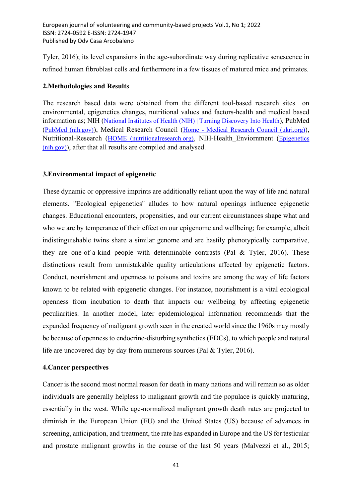Tyler, 2016); its level expansions in the age-subordinate way during replicative senescence in refined human fibroblast cells and furthermore in a few tissues of matured mice and primates.

## 2.Methodologies and Results

The research based data were obtained from the different tool-based research sites on environmental, epigenetics changes, nutritional values and factors-health and medical based information as; NIH (National Institutes of Health (NIH) | Turning Discovery Into Health), PubMed (PubMed (nih.gov)), Medical Research Council (Home - Medical Research Council (ukri.org)), Nutritional-Research (HOME (nutritionalresearch.org), NIH-Health\_Enviornment (Epigenetics (nih.gov)), after that all results are compiled and analysed.

# 3.Environmental impact of epigenetic

These dynamic or oppressive imprints are additionally reliant upon the way of life and natural elements. "Ecological epigenetics" alludes to how natural openings influence epigenetic changes. Educational encounters, propensities, and our current circumstances shape what and who we are by temperance of their effect on our epigenome and wellbeing; for example, albeit indistinguishable twins share a similar genome and are hastily phenotypically comparative, they are one-of-a-kind people with determinable contrasts (Pal & Tyler, 2016). These distinctions result from unmistakable quality articulations affected by epigenetic factors. Conduct, nourishment and openness to poisons and toxins are among the way of life factors known to be related with epigenetic changes. For instance, nourishment is a vital ecological openness from incubation to death that impacts our wellbeing by affecting epigenetic peculiarities. In another model, later epidemiological information recommends that the expanded frequency of malignant growth seen in the created world since the 1960s may mostly be because of openness to endocrine-disturbing synthetics (EDCs), to which people and natural life are uncovered day by day from numerous sources (Pal & Tyler, 2016).

#### 4.Cancer perspectives

Cancer is the second most normal reason for death in many nations and will remain so as older individuals are generally helpless to malignant growth and the populace is quickly maturing, essentially in the west. While age-normalized malignant growth death rates are projected to diminish in the European Union (EU) and the United States (US) because of advances in screening, anticipation, and treatment, the rate has expanded in Europe and the US for testicular and prostate malignant growths in the course of the last 50 years (Malvezzi et al., 2015;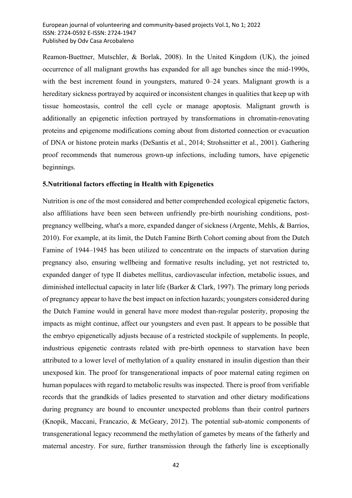Reamon-Buettner, Mutschler, & Borlak, 2008). In the United Kingdom (UK), the joined occurrence of all malignant growths has expanded for all age bunches since the mid-1990s, with the best increment found in youngsters, matured 0–24 years. Malignant growth is a hereditary sickness portrayed by acquired or inconsistent changes in qualities that keep up with tissue homeostasis, control the cell cycle or manage apoptosis. Malignant growth is additionally an epigenetic infection portrayed by transformations in chromatin-renovating proteins and epigenome modifications coming about from distorted connection or evacuation of DNA or histone protein marks (DeSantis et al., 2014; Strohsnitter et al., 2001). Gathering proof recommends that numerous grown-up infections, including tumors, have epigenetic beginnings.

#### 5.Nutritional factors effecting in Health with Epigenetics

Nutrition is one of the most considered and better comprehended ecological epigenetic factors, also affiliations have been seen between unfriendly pre-birth nourishing conditions, postpregnancy wellbeing, what's a more, expanded danger of sickness (Argente, Mehls, & Barrios, 2010). For example, at its limit, the Dutch Famine Birth Cohort coming about from the Dutch Famine of 1944–1945 has been utilized to concentrate on the impacts of starvation during pregnancy also, ensuring wellbeing and formative results including, yet not restricted to, expanded danger of type II diabetes mellitus, cardiovascular infection, metabolic issues, and diminished intellectual capacity in later life (Barker & Clark, 1997). The primary long periods of pregnancy appear to have the best impact on infection hazards; youngsters considered during the Dutch Famine would in general have more modest than-regular posterity, proposing the impacts as might continue, affect our youngsters and even past. It appears to be possible that the embryo epigenetically adjusts because of a restricted stockpile of supplements. In people, industrious epigenetic contrasts related with pre-birth openness to starvation have been attributed to a lower level of methylation of a quality ensnared in insulin digestion than their unexposed kin. The proof for transgenerational impacts of poor maternal eating regimen on human populaces with regard to metabolic results was inspected. There is proof from verifiable records that the grandkids of ladies presented to starvation and other dietary modifications during pregnancy are bound to encounter unexpected problems than their control partners (Knopik, Maccani, Francazio, & McGeary, 2012). The potential sub-atomic components of transgenerational legacy recommend the methylation of gametes by means of the fatherly and maternal ancestry. For sure, further transmission through the fatherly line is exceptionally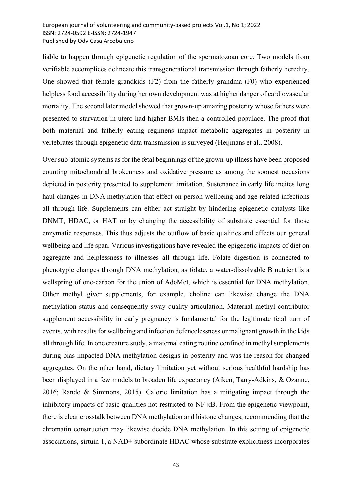liable to happen through epigenetic regulation of the spermatozoan core. Two models from verifiable accomplices delineate this transgenerational transmission through fatherly heredity. One showed that female grandkids (F2) from the fatherly grandma (F0) who experienced helpless food accessibility during her own development was at higher danger of cardiovascular mortality. The second later model showed that grown-up amazing posterity whose fathers were presented to starvation in utero had higher BMIs then a controlled populace. The proof that both maternal and fatherly eating regimens impact metabolic aggregates in posterity in vertebrates through epigenetic data transmission is surveyed (Heijmans et al., 2008).

Over sub-atomic systems as for the fetal beginnings of the grown-up illness have been proposed counting mitochondrial brokenness and oxidative pressure as among the soonest occasions depicted in posterity presented to supplement limitation. Sustenance in early life incites long haul changes in DNA methylation that effect on person wellbeing and age-related infections all through life. Supplements can either act straight by hindering epigenetic catalysts like DNMT, HDAC, or HAT or by changing the accessibility of substrate essential for those enzymatic responses. This thus adjusts the outflow of basic qualities and effects our general wellbeing and life span. Various investigations have revealed the epigenetic impacts of diet on aggregate and helplessness to illnesses all through life. Folate digestion is connected to phenotypic changes through DNA methylation, as folate, a water-dissolvable B nutrient is a wellspring of one-carbon for the union of AdoMet, which is essential for DNA methylation. Other methyl giver supplements, for example, choline can likewise change the DNA methylation status and consequently sway quality articulation. Maternal methyl contributor supplement accessibility in early pregnancy is fundamental for the legitimate fetal turn of events, with results for wellbeing and infection defencelessness or malignant growth in the kids all through life. In one creature study, a maternal eating routine confined in methyl supplements during bias impacted DNA methylation designs in posterity and was the reason for changed aggregates. On the other hand, dietary limitation yet without serious healthful hardship has been displayed in a few models to broaden life expectancy (Aiken, Tarry-Adkins, & Ozanne, 2016; Rando & Simmons, 2015). Calorie limitation has a mitigating impact through the inhibitory impacts of basic qualities not restricted to NF-κB. From the epigenetic viewpoint, there is clear crosstalk between DNA methylation and histone changes, recommending that the chromatin construction may likewise decide DNA methylation. In this setting of epigenetic associations, sirtuin 1, a NAD+ subordinate HDAC whose substrate explicitness incorporates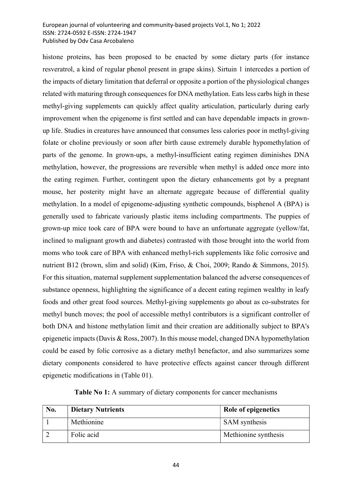histone proteins, has been proposed to be enacted by some dietary parts (for instance resveratrol, a kind of regular phenol present in grape skins). Sirtuin 1 intercedes a portion of the impacts of dietary limitation that deferral or opposite a portion of the physiological changes related with maturing through consequences for DNA methylation. Eats less carbs high in these methyl-giving supplements can quickly affect quality articulation, particularly during early improvement when the epigenome is first settled and can have dependable impacts in grownup life. Studies in creatures have announced that consumes less calories poor in methyl-giving folate or choline previously or soon after birth cause extremely durable hypomethylation of parts of the genome. In grown-ups, a methyl-insufficient eating regimen diminishes DNA methylation, however, the progressions are reversible when methyl is added once more into the eating regimen. Further, contingent upon the dietary enhancements got by a pregnant mouse, her posterity might have an alternate aggregate because of differential quality methylation. In a model of epigenome-adjusting synthetic compounds, bisphenol A (BPA) is generally used to fabricate variously plastic items including compartments. The puppies of grown-up mice took care of BPA were bound to have an unfortunate aggregate (yellow/fat, inclined to malignant growth and diabetes) contrasted with those brought into the world from moms who took care of BPA with enhanced methyl-rich supplements like folic corrosive and nutrient B12 (brown, slim and solid) (Kim, Friso, & Choi, 2009; Rando & Simmons, 2015). For this situation, maternal supplement supplementation balanced the adverse consequences of substance openness, highlighting the significance of a decent eating regimen wealthy in leafy foods and other great food sources. Methyl-giving supplements go about as co-substrates for methyl bunch moves; the pool of accessible methyl contributors is a significant controller of both DNA and histone methylation limit and their creation are additionally subject to BPA's epigenetic impacts (Davis & Ross, 2007). In this mouse model, changed DNA hypomethylation could be eased by folic corrosive as a dietary methyl benefactor, and also summarizes some dietary components considered to have protective effects against cancer through different epigenetic modifications in (Table 01).

Table No 1: A summary of dietary components for cancer mechanisms

| No. | <b>Dietary Nutrients</b> | Role of epigenetics  |
|-----|--------------------------|----------------------|
|     | Methionine               | <b>SAM</b> synthesis |
|     | Folic acid               | Methionine synthesis |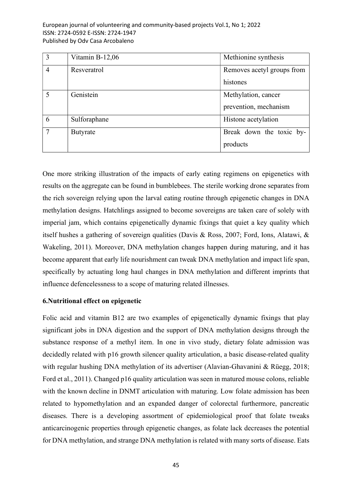| $\overline{3}$ | Vitamin B-12,06 | Methionine synthesis       |
|----------------|-----------------|----------------------------|
| $\overline{4}$ | Resveratrol     | Removes acetyl groups from |
|                |                 | histones                   |
| 5              | Genistein       | Methylation, cancer        |
|                |                 | prevention, mechanism      |
| 6              | Sulforaphane    | Histone acetylation        |
| $\overline{7}$ | Butyrate        | Break down the toxic by-   |
|                |                 | products                   |

One more striking illustration of the impacts of early eating regimens on epigenetics with results on the aggregate can be found in bumblebees. The sterile working drone separates from the rich sovereign relying upon the larval eating routine through epigenetic changes in DNA methylation designs. Hatchlings assigned to become sovereigns are taken care of solely with imperial jam, which contains epigenetically dynamic fixings that quiet a key quality which itself hushes a gathering of sovereign qualities (Davis & Ross, 2007; Ford, Ions, Alatawi, & Wakeling, 2011). Moreover, DNA methylation changes happen during maturing, and it has become apparent that early life nourishment can tweak DNA methylation and impact life span, specifically by actuating long haul changes in DNA methylation and different imprints that influence defencelessness to a scope of maturing related illnesses.

#### 6.Nutritional effect on epigenetic

Folic acid and vitamin B12 are two examples of epigenetically dynamic fixings that play significant jobs in DNA digestion and the support of DNA methylation designs through the substance response of a methyl item. In one in vivo study, dietary folate admission was decidedly related with p16 growth silencer quality articulation, a basic disease-related quality with regular hushing DNA methylation of its advertiser (Alavian-Ghavanini & Rüegg, 2018; Ford et al., 2011). Changed p16 quality articulation was seen in matured mouse colons, reliable with the known decline in DNMT articulation with maturing. Low folate admission has been related to hypomethylation and an expanded danger of colorectal furthermore, pancreatic diseases. There is a developing assortment of epidemiological proof that folate tweaks anticarcinogenic properties through epigenetic changes, as folate lack decreases the potential for DNA methylation, and strange DNA methylation is related with many sorts of disease. Eats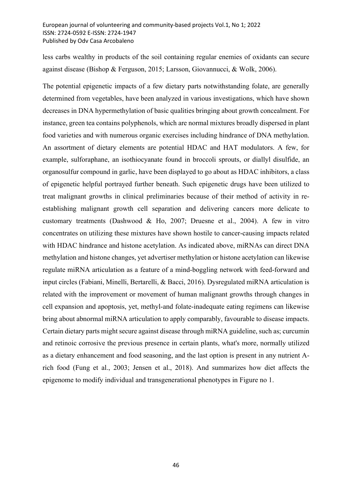less carbs wealthy in products of the soil containing regular enemies of oxidants can secure against disease (Bishop & Ferguson, 2015; Larsson, Giovannucci, & Wolk, 2006).

The potential epigenetic impacts of a few dietary parts notwithstanding folate, are generally determined from vegetables, have been analyzed in various investigations, which have shown decreases in DNA hypermethylation of basic qualities bringing about growth concealment. For instance, green tea contains polyphenols, which are normal mixtures broadly dispersed in plant food varieties and with numerous organic exercises including hindrance of DNA methylation. An assortment of dietary elements are potential HDAC and HAT modulators. A few, for example, sulforaphane, an isothiocyanate found in broccoli sprouts, or diallyl disulfide, an organosulfur compound in garlic, have been displayed to go about as HDAC inhibitors, a class of epigenetic helpful portrayed further beneath. Such epigenetic drugs have been utilized to treat malignant growths in clinical preliminaries because of their method of activity in reestablishing malignant growth cell separation and delivering cancers more delicate to customary treatments (Dashwood & Ho, 2007; Druesne et al., 2004). A few in vitro concentrates on utilizing these mixtures have shown hostile to cancer-causing impacts related with HDAC hindrance and histone acetylation. As indicated above, miRNAs can direct DNA methylation and histone changes, yet advertiser methylation or histone acetylation can likewise regulate miRNA articulation as a feature of a mind-boggling network with feed-forward and input circles (Fabiani, Minelli, Bertarelli, & Bacci, 2016). Dysregulated miRNA articulation is related with the improvement or movement of human malignant growths through changes in cell expansion and apoptosis, yet, methyl-and folate-inadequate eating regimens can likewise bring about abnormal miRNA articulation to apply comparably, favourable to disease impacts. Certain dietary parts might secure against disease through miRNA guideline, such as; curcumin and retinoic corrosive the previous presence in certain plants, what's more, normally utilized as a dietary enhancement and food seasoning, and the last option is present in any nutrient Arich food (Fung et al., 2003; Jensen et al., 2018). And summarizes how diet affects the epigenome to modify individual and transgenerational phenotypes in Figure no 1.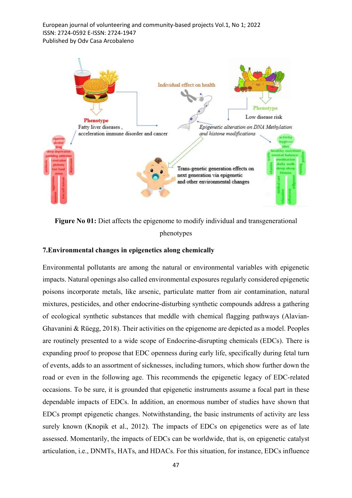

Figure No 01: Diet affects the epigenome to modify individual and transgenerational phenotypes

## 7.Environmental changes in epigenetics along chemically

Environmental pollutants are among the natural or environmental variables with epigenetic impacts. Natural openings also called environmental exposures regularly considered epigenetic poisons incorporate metals, like arsenic, particulate matter from air contamination, natural mixtures, pesticides, and other endocrine-disturbing synthetic compounds address a gathering of ecological synthetic substances that meddle with chemical flagging pathways (Alavian‐ Ghavanini & Rüegg, 2018). Their activities on the epigenome are depicted as a model. Peoples are routinely presented to a wide scope of Endocrine-disrupting chemicals (EDCs). There is expanding proof to propose that EDC openness during early life, specifically during fetal turn of events, adds to an assortment of sicknesses, including tumors, which show further down the road or even in the following age. This recommends the epigenetic legacy of EDC-related occasions. To be sure, it is grounded that epigenetic instruments assume a focal part in these dependable impacts of EDCs. In addition, an enormous number of studies have shown that EDCs prompt epigenetic changes. Notwithstanding, the basic instruments of activity are less surely known (Knopik et al., 2012). The impacts of EDCs on epigenetics were as of late assessed. Momentarily, the impacts of EDCs can be worldwide, that is, on epigenetic catalyst articulation, i.e., DNMTs, HATs, and HDACs. For this situation, for instance, EDCs influence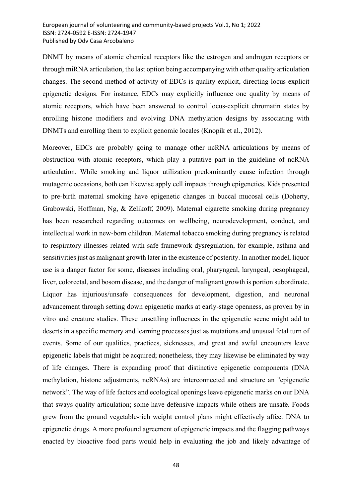DNMT by means of atomic chemical receptors like the estrogen and androgen receptors or through miRNA articulation, the last option being accompanying with other quality articulation changes. The second method of activity of EDCs is quality explicit, directing locus-explicit epigenetic designs. For instance, EDCs may explicitly influence one quality by means of atomic receptors, which have been answered to control locus-explicit chromatin states by enrolling histone modifiers and evolving DNA methylation designs by associating with DNMTs and enrolling them to explicit genomic locales (Knopik et al., 2012).

Moreover, EDCs are probably going to manage other ncRNA articulations by means of obstruction with atomic receptors, which play a putative part in the guideline of ncRNA articulation. While smoking and liquor utilization predominantly cause infection through mutagenic occasions, both can likewise apply cell impacts through epigenetics. Kids presented to pre-birth maternal smoking have epigenetic changes in buccal mucosal cells (Doherty, Grabowski, Hoffman, Ng, & Zelikoff, 2009). Maternal cigarette smoking during pregnancy has been researched regarding outcomes on wellbeing, neurodevelopment, conduct, and intellectual work in new-born children. Maternal tobacco smoking during pregnancy is related to respiratory illnesses related with safe framework dysregulation, for example, asthma and sensitivities just as malignant growth later in the existence of posterity. In another model, liquor use is a danger factor for some, diseases including oral, pharyngeal, laryngeal, oesophageal, liver, colorectal, and bosom disease, and the danger of malignant growth is portion subordinate. Liquor has injurious/unsafe consequences for development, digestion, and neuronal advancement through setting down epigenetic marks at early-stage openness, as proven by in vitro and creature studies. These unsettling influences in the epigenetic scene might add to deserts in a specific memory and learning processes just as mutations and unusual fetal turn of events. Some of our qualities, practices, sicknesses, and great and awful encounters leave epigenetic labels that might be acquired; nonetheless, they may likewise be eliminated by way of life changes. There is expanding proof that distinctive epigenetic components (DNA methylation, histone adjustments, ncRNAs) are interconnected and structure an "epigenetic network". The way of life factors and ecological openings leave epigenetic marks on our DNA that sways quality articulation; some have defensive impacts while others are unsafe. Foods grew from the ground vegetable-rich weight control plans might effectively affect DNA to epigenetic drugs. A more profound agreement of epigenetic impacts and the flagging pathways enacted by bioactive food parts would help in evaluating the job and likely advantage of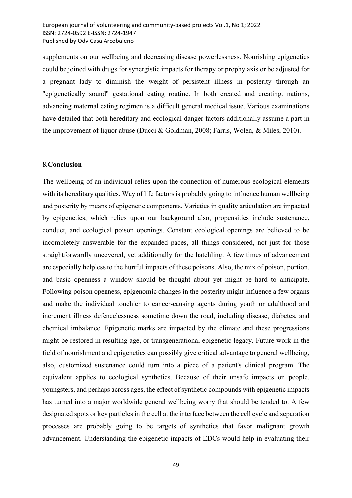supplements on our wellbeing and decreasing disease powerlessness. Nourishing epigenetics could be joined with drugs for synergistic impacts for therapy or prophylaxis or be adjusted for a pregnant lady to diminish the weight of persistent illness in posterity through an "epigenetically sound" gestational eating routine. In both created and creating. nations, advancing maternal eating regimen is a difficult general medical issue. Various examinations have detailed that both hereditary and ecological danger factors additionally assume a part in the improvement of liquor abuse (Ducci & Goldman, 2008; Farris, Wolen, & Miles, 2010).

#### 8.Conclusion

The wellbeing of an individual relies upon the connection of numerous ecological elements with its hereditary qualities. Way of life factors is probably going to influence human wellbeing and posterity by means of epigenetic components. Varieties in quality articulation are impacted by epigenetics, which relies upon our background also, propensities include sustenance, conduct, and ecological poison openings. Constant ecological openings are believed to be incompletely answerable for the expanded paces, all things considered, not just for those straightforwardly uncovered, yet additionally for the hatchling. A few times of advancement are especially helpless to the hurtful impacts of these poisons. Also, the mix of poison, portion, and basic openness a window should be thought about yet might be hard to anticipate. Following poison openness, epigenomic changes in the posterity might influence a few organs and make the individual touchier to cancer-causing agents during youth or adulthood and increment illness defencelessness sometime down the road, including disease, diabetes, and chemical imbalance. Epigenetic marks are impacted by the climate and these progressions might be restored in resulting age, or transgenerational epigenetic legacy. Future work in the field of nourishment and epigenetics can possibly give critical advantage to general wellbeing, also, customized sustenance could turn into a piece of a patient's clinical program. The equivalent applies to ecological synthetics. Because of their unsafe impacts on people, youngsters, and perhaps across ages, the effect of synthetic compounds with epigenetic impacts has turned into a major worldwide general wellbeing worry that should be tended to. A few designated spots or key particles in the cell at the interface between the cell cycle and separation processes are probably going to be targets of synthetics that favor malignant growth advancement. Understanding the epigenetic impacts of EDCs would help in evaluating their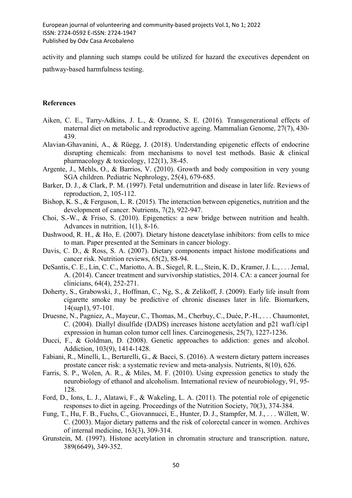activity and planning such stamps could be utilized for hazard the executives dependent on pathway-based harmfulness testing.

# References

- Aiken, C. E., Tarry-Adkins, J. L., & Ozanne, S. E. (2016). Transgenerational effects of maternal diet on metabolic and reproductive ageing. Mammalian Genome, 27(7), 430- 439.
- Alavian‐Ghavanini, A., & Rüegg, J. (2018). Understanding epigenetic effects of endocrine disrupting chemicals: from mechanisms to novel test methods. Basic & clinical pharmacology & toxicology, 122(1), 38-45.
- Argente, J., Mehls, O., & Barrios, V. (2010). Growth and body composition in very young SGA children. Pediatric Nephrology, 25(4), 679-685.
- Barker, D. J., & Clark, P. M. (1997). Fetal undernutrition and disease in later life. Reviews of reproduction, 2, 105-112.
- Bishop, K. S., & Ferguson, L. R. (2015). The interaction between epigenetics, nutrition and the development of cancer. Nutrients, 7(2), 922-947.
- Choi, S.-W., & Friso, S. (2010). Epigenetics: a new bridge between nutrition and health. Advances in nutrition, 1(1), 8-16.
- Dashwood, R. H., & Ho, E. (2007). Dietary histone deacetylase inhibitors: from cells to mice to man. Paper presented at the Seminars in cancer biology.
- Davis, C. D., & Ross, S. A. (2007). Dietary components impact histone modifications and cancer risk. Nutrition reviews, 65(2), 88-94.
- DeSantis, C. E., Lin, C. C., Mariotto, A. B., Siegel, R. L., Stein, K. D., Kramer, J. L., . . . Jemal, A. (2014). Cancer treatment and survivorship statistics, 2014. CA: a cancer journal for clinicians, 64(4), 252-271.
- Doherty, S., Grabowski, J., Hoffman, C., Ng, S., & Zelikoff, J. (2009). Early life insult from cigarette smoke may be predictive of chronic diseases later in life. Biomarkers, 14(sup1), 97-101.
- Druesne, N., Pagniez, A., Mayeur, C., Thomas, M., Cherbuy, C., Duée, P.-H., . . . Chaumontet, C. (2004). Diallyl disulfide (DADS) increases histone acetylation and p21 waf1/cip1 expression in human colon tumor cell lines. Carcinogenesis, 25(7), 1227-1236.
- Ducci, F., & Goldman, D. (2008). Genetic approaches to addiction: genes and alcohol. Addiction, 103(9), 1414-1428.
- Fabiani, R., Minelli, L., Bertarelli, G., & Bacci, S. (2016). A western dietary pattern increases prostate cancer risk: a systematic review and meta-analysis. Nutrients, 8(10), 626.
- Farris, S. P., Wolen, A. R., & Miles, M. F. (2010). Using expression genetics to study the neurobiology of ethanol and alcoholism. International review of neurobiology, 91, 95- 128.
- Ford, D., Ions, L. J., Alatawi, F., & Wakeling, L. A. (2011). The potential role of epigenetic responses to diet in ageing. Proceedings of the Nutrition Society, 70(3), 374-384.
- Fung, T., Hu, F. B., Fuchs, C., Giovannucci, E., Hunter, D. J., Stampfer, M. J., . . . Willett, W. C. (2003). Major dietary patterns and the risk of colorectal cancer in women. Archives of internal medicine, 163(3), 309-314.
- Grunstein, M. (1997). Histone acetylation in chromatin structure and transcription. nature, 389(6649), 349-352.